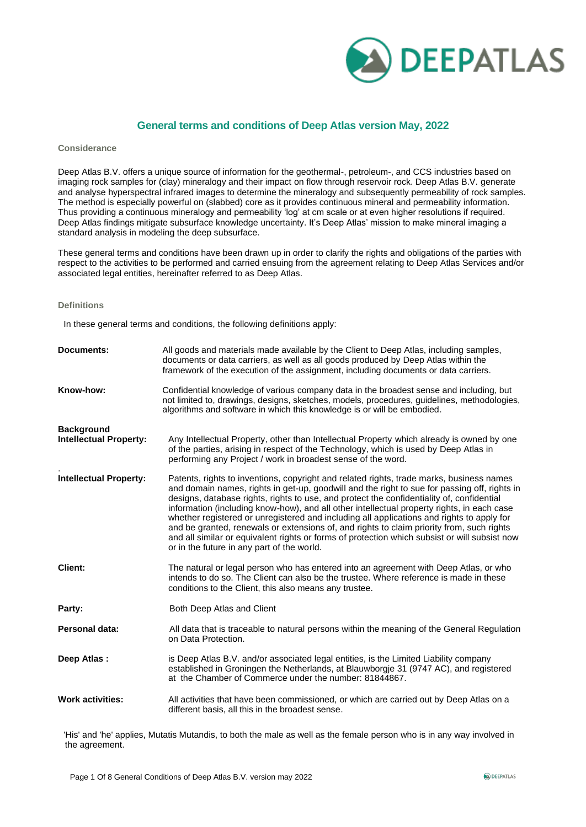

### **General terms and conditions of Deep Atlas version May, 2022**

#### **Considerance**

Deep Atlas B.V. offers a unique source of information for the geothermal-, petroleum-, and CCS industries based on imaging rock samples for (clay) mineralogy and their impact on flow through reservoir rock. Deep Atlas B.V. generate and analyse hyperspectral infrared images to determine the mineralogy and subsequently permeability of rock samples. The method is especially powerful on (slabbed) core as it provides continuous mineral and permeability information. Thus providing a continuous mineralogy and permeability 'log' at cm scale or at even higher resolutions if required. Deep Atlas findings mitigate subsurface knowledge uncertainty. It's Deep Atlas' mission to make mineral imaging a standard analysis in modeling the deep subsurface.

These general terms and conditions have been drawn up in order to clarify the rights and obligations of the parties with respect to the activities to be performed and carried ensuing from the agreement relating to Deep Atlas Services and/or associated legal entities, hereinafter referred to as Deep Atlas.

### **Definitions**

In these general terms and conditions, the following definitions apply:

| <b>Documents:</b>                                  | All goods and materials made available by the Client to Deep Atlas, including samples,<br>documents or data carriers, as well as all goods produced by Deep Atlas within the<br>framework of the execution of the assignment, including documents or data carriers.                                                                                                                                                                                                                                                                                                                                                                                                                                                          |
|----------------------------------------------------|------------------------------------------------------------------------------------------------------------------------------------------------------------------------------------------------------------------------------------------------------------------------------------------------------------------------------------------------------------------------------------------------------------------------------------------------------------------------------------------------------------------------------------------------------------------------------------------------------------------------------------------------------------------------------------------------------------------------------|
| Know-how:                                          | Confidential knowledge of various company data in the broadest sense and including, but<br>not limited to, drawings, designs, sketches, models, procedures, guidelines, methodologies,<br>algorithms and software in which this knowledge is or will be embodied.                                                                                                                                                                                                                                                                                                                                                                                                                                                            |
| <b>Background</b><br><b>Intellectual Property:</b> | Any Intellectual Property, other than Intellectual Property which already is owned by one<br>of the parties, arising in respect of the Technology, which is used by Deep Atlas in<br>performing any Project / work in broadest sense of the word.                                                                                                                                                                                                                                                                                                                                                                                                                                                                            |
| <b>Intellectual Property:</b>                      | Patents, rights to inventions, copyright and related rights, trade marks, business names<br>and domain names, rights in get-up, goodwill and the right to sue for passing off, rights in<br>designs, database rights, rights to use, and protect the confidentiality of, confidential<br>information (including know-how), and all other intellectual property rights, in each case<br>whether registered or unregistered and including all applications and rights to apply for<br>and be granted, renewals or extensions of, and rights to claim priority from, such rights<br>and all similar or equivalent rights or forms of protection which subsist or will subsist now<br>or in the future in any part of the world. |
| <b>Client:</b>                                     | The natural or legal person who has entered into an agreement with Deep Atlas, or who<br>intends to do so. The Client can also be the trustee. Where reference is made in these<br>conditions to the Client, this also means any trustee.                                                                                                                                                                                                                                                                                                                                                                                                                                                                                    |
| Party:                                             | Both Deep Atlas and Client                                                                                                                                                                                                                                                                                                                                                                                                                                                                                                                                                                                                                                                                                                   |
| <b>Personal data:</b>                              | All data that is traceable to natural persons within the meaning of the General Regulation<br>on Data Protection.                                                                                                                                                                                                                                                                                                                                                                                                                                                                                                                                                                                                            |
| Deep Atlas:                                        | is Deep Atlas B.V. and/or associated legal entities, is the Limited Liability company<br>established in Groningen the Netherlands, at Blauwborgie 31 (9747 AC), and registered<br>at the Chamber of Commerce under the number: 81844867.                                                                                                                                                                                                                                                                                                                                                                                                                                                                                     |
| <b>Work activities:</b>                            | All activities that have been commissioned, or which are carried out by Deep Atlas on a<br>different basis, all this in the broadest sense.                                                                                                                                                                                                                                                                                                                                                                                                                                                                                                                                                                                  |

'His' and 'he' applies, Mutatis Mutandis, to both the male as well as the female person who is in any way involved in the agreement.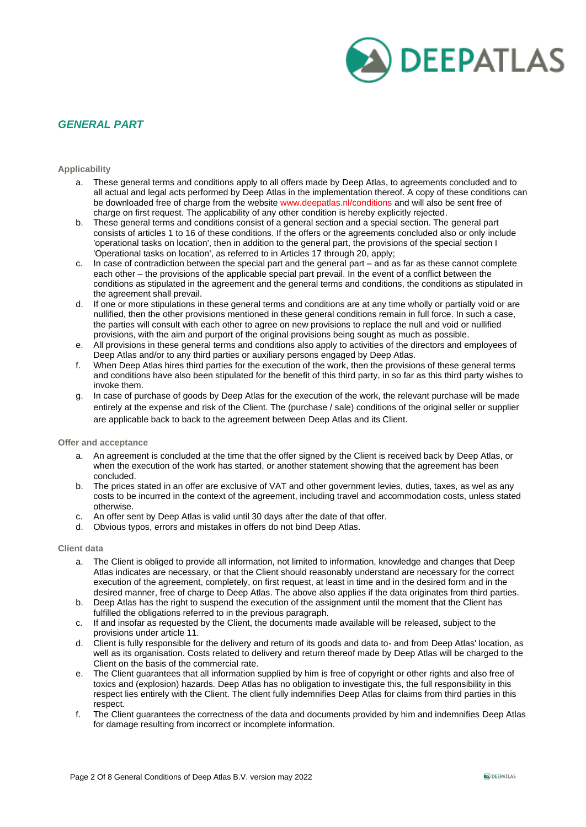

## *GENERAL PART*

### **Applicability**

- a. These general terms and conditions apply to all offers made by Deep Atlas, to agreements concluded and to all actual and legal acts performed by Deep Atlas in the implementation thereof. A copy of these conditions can be downloaded free of charge from the website www.deepatlas.nl/conditions and will also be sent free of charge on first request. The applicability of any other condition is hereby explicitly rejected.
- b. These general terms and conditions consist of a general section and a special section. The general part consists of articles 1 to 16 of these conditions. If the offers or the agreements concluded also or only include 'operational tasks on location', then in addition to the general part, the provisions of the special section I 'Operational tasks on location', as referred to in Articles 17 through 20, apply;
- c. In case of contradiction between the special part and the general part and as far as these cannot complete each other – the provisions of the applicable special part prevail. In the event of a conflict between the conditions as stipulated in the agreement and the general terms and conditions, the conditions as stipulated in the agreement shall prevail.
- d. If one or more stipulations in these general terms and conditions are at any time wholly or partially void or are nullified, then the other provisions mentioned in these general conditions remain in full force. In such a case, the parties will consult with each other to agree on new provisions to replace the null and void or nullified provisions, with the aim and purport of the original provisions being sought as much as possible.
- e. All provisions in these general terms and conditions also apply to activities of the directors and employees of Deep Atlas and/or to any third parties or auxiliary persons engaged by Deep Atlas.
- f. When Deep Atlas hires third parties for the execution of the work, then the provisions of these general terms and conditions have also been stipulated for the benefit of this third party, in so far as this third party wishes to invoke them.
- g. In case of purchase of goods by Deep Atlas for the execution of the work, the relevant purchase will be made entirely at the expense and risk of the Client. The (purchase / sale) conditions of the original seller or supplier are applicable back to back to the agreement between Deep Atlas and its Client.

### **Offer and acceptance**

- a. An agreement is concluded at the time that the offer signed by the Client is received back by Deep Atlas, or when the execution of the work has started, or another statement showing that the agreement has been concluded.
- b. The prices stated in an offer are exclusive of VAT and other government levies, duties, taxes, as wel as any costs to be incurred in the context of the agreement, including travel and accommodation costs, unless stated otherwise.
- c. An offer sent by Deep Atlas is valid until 30 days after the date of that offer.
- d. Obvious typos, errors and mistakes in offers do not bind Deep Atlas.

#### **Client data**

- a. The Client is obliged to provide all information, not limited to information, knowledge and changes that Deep Atlas indicates are necessary, or that the Client should reasonably understand are necessary for the correct execution of the agreement, completely, on first request, at least in time and in the desired form and in the desired manner, free of charge to Deep Atlas. The above also applies if the data originates from third parties.
- b. Deep Atlas has the right to suspend the execution of the assignment until the moment that the Client has fulfilled the obligations referred to in the previous paragraph.
- c. If and insofar as requested by the Client, the documents made available will be released, subject to the provisions under article 11.
- d. Client is fully responsible for the delivery and return of its goods and data to- and from Deep Atlas' location, as well as its organisation. Costs related to delivery and return thereof made by Deep Atlas will be charged to the Client on the basis of the commercial rate.
- e. The Client guarantees that all information supplied by him is free of copyright or other rights and also free of toxics and (explosion) hazards. Deep Atlas has no obligation to investigate this, the full responsibility in this respect lies entirely with the Client. The client fully indemnifies Deep Atlas for claims from third parties in this respect.
- f. The Client guarantees the correctness of the data and documents provided by him and indemnifies Deep Atlas for damage resulting from incorrect or incomplete information.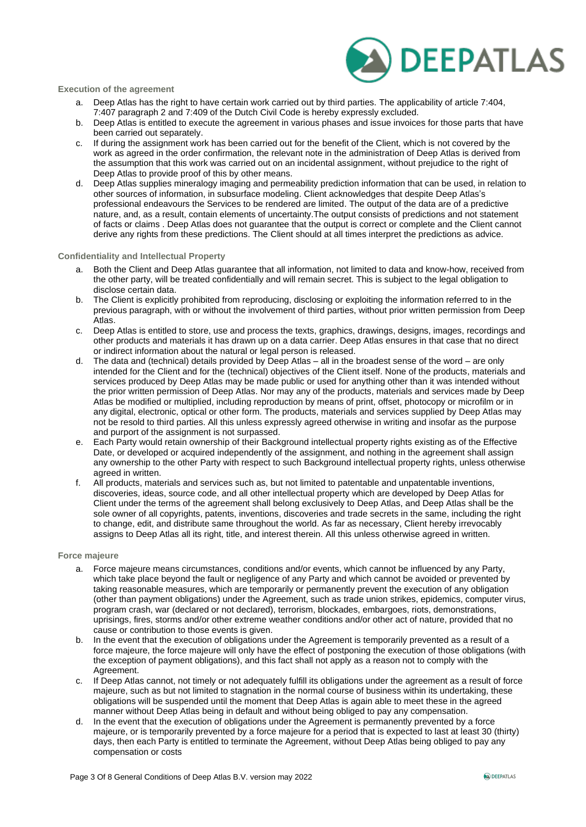

### **Execution of the agreement**

- a. Deep Atlas has the right to have certain work carried out by third parties. The applicability of article 7:404, 7:407 paragraph 2 and 7:409 of the Dutch Civil Code is hereby expressly excluded.
- b. Deep Atlas is entitled to execute the agreement in various phases and issue invoices for those parts that have been carried out separately.
- c. If during the assignment work has been carried out for the benefit of the Client, which is not covered by the work as agreed in the order confirmation, the relevant note in the administration of Deep Atlas is derived from the assumption that this work was carried out on an incidental assignment, without prejudice to the right of Deep Atlas to provide proof of this by other means.
- d. Deep Atlas supplies mineralogy imaging and permeability prediction information that can be used, in relation to other sources of information, in subsurface modeling. Client acknowledges that despite Deep Atlas's professional endeavours the Services to be rendered are limited. The output of the data are of a predictive nature, and, as a result, contain elements of uncertainty.The output consists of predictions and not statement of facts or claims . Deep Atlas does not guarantee that the output is correct or complete and the Client cannot derive any rights from these predictions. The Client should at all times interpret the predictions as advice.

### **Confidentiality and Intellectual Property**

- a. Both the Client and Deep Atlas guarantee that all information, not limited to data and know-how, received from the other party, will be treated confidentially and will remain secret. This is subject to the legal obligation to disclose certain data.
- b. The Client is explicitly prohibited from reproducing, disclosing or exploiting the information referred to in the previous paragraph, with or without the involvement of third parties, without prior written permission from Deep Atlas.
- c. Deep Atlas is entitled to store, use and process the texts, graphics, drawings, designs, images, recordings and other products and materials it has drawn up on a data carrier. Deep Atlas ensures in that case that no direct or indirect information about the natural or legal person is released.
- d. The data and (technical) details provided by Deep Atlas all in the broadest sense of the word are only intended for the Client and for the (technical) objectives of the Client itself. None of the products, materials and services produced by Deep Atlas may be made public or used for anything other than it was intended without the prior written permission of Deep Atlas. Nor may any of the products, materials and services made by Deep Atlas be modified or multiplied, including reproduction by means of print, offset, photocopy or microfilm or in any digital, electronic, optical or other form. The products, materials and services supplied by Deep Atlas may not be resold to third parties. All this unless expressly agreed otherwise in writing and insofar as the purpose and purport of the assignment is not surpassed.
- e. Each Party would retain ownership of their Background intellectual property rights existing as of the Effective Date, or developed or acquired independently of the assignment, and nothing in the agreement shall assign any ownership to the other Party with respect to such Background intellectual property rights, unless otherwise agreed in written.
- f. All products, materials and services such as, but not limited to patentable and unpatentable inventions, discoveries, ideas, source code, and all other intellectual property which are developed by Deep Atlas for Client under the terms of the agreement shall belong exclusively to Deep Atlas, and Deep Atlas shall be the sole owner of all copyrights, patents, inventions, discoveries and trade secrets in the same, including the right to change, edit, and distribute same throughout the world. As far as necessary, Client hereby irrevocably assigns to Deep Atlas all its right, title, and interest therein. All this unless otherwise agreed in written.

#### **Force majeure**

- a. Force majeure means circumstances, conditions and/or events, which cannot be influenced by any Party, which take place beyond the fault or negligence of any Party and which cannot be avoided or prevented by taking reasonable measures, which are temporarily or permanently prevent the execution of any obligation (other than payment obligations) under the Agreement, such as trade union strikes, epidemics, computer virus, program crash, war (declared or not declared), terrorism, blockades, embargoes, riots, demonstrations, uprisings, fires, storms and/or other extreme weather conditions and/or other act of nature, provided that no cause or contribution to those events is given.
- b. In the event that the execution of obligations under the Agreement is temporarily prevented as a result of a force majeure, the force majeure will only have the effect of postponing the execution of those obligations (with the exception of payment obligations), and this fact shall not apply as a reason not to comply with the Agreement.
- c. If Deep Atlas cannot, not timely or not adequately fulfill its obligations under the agreement as a result of force majeure, such as but not limited to stagnation in the normal course of business within its undertaking, these obligations will be suspended until the moment that Deep Atlas is again able to meet these in the agreed manner without Deep Atlas being in default and without being obliged to pay any compensation.
- d. In the event that the execution of obligations under the Agreement is permanently prevented by a force majeure, or is temporarily prevented by a force majeure for a period that is expected to last at least 30 (thirty) days, then each Party is entitled to terminate the Agreement, without Deep Atlas being obliged to pay any compensation or costs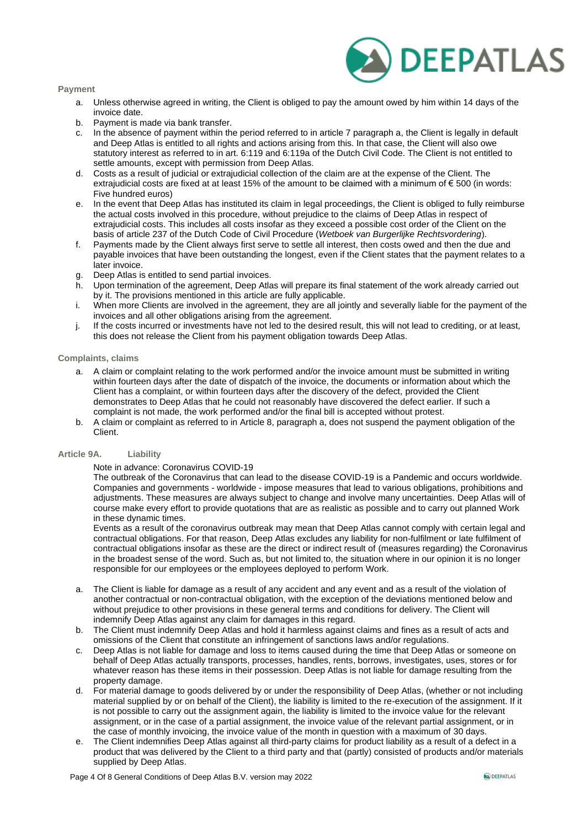



- a. Unless otherwise agreed in writing, the Client is obliged to pay the amount owed by him within 14 days of the invoice date.
- b. Payment is made via bank transfer.
- c. In the absence of payment within the period referred to in article 7 paragraph a, the Client is legally in default and Deep Atlas is entitled to all rights and actions arising from this. In that case, the Client will also owe statutory interest as referred to in art. 6:119 and 6:119a of the Dutch Civil Code. The Client is not entitled to settle amounts, except with permission from Deep Atlas.
- d. Costs as a result of judicial or extrajudicial collection of the claim are at the expense of the Client. The extrajudicial costs are fixed at at least 15% of the amount to be claimed with a minimum of  $\epsilon$  500 (in words: Five hundred euros)
- e. In the event that Deep Atlas has instituted its claim in legal proceedings, the Client is obliged to fully reimburse the actual costs involved in this procedure, without prejudice to the claims of Deep Atlas in respect of extrajudicial costs. This includes all costs insofar as they exceed a possible cost order of the Client on the basis of article 237 of the Dutch Code of Civil Procedure (*Wetboek van Burgerlijke Rechtsvordering*).
- f. Payments made by the Client always first serve to settle all interest, then costs owed and then the due and payable invoices that have been outstanding the longest, even if the Client states that the payment relates to a later invoice.
- g. Deep Atlas is entitled to send partial invoices.
- h. Upon termination of the agreement, Deep Atlas will prepare its final statement of the work already carried out by it. The provisions mentioned in this article are fully applicable.
- i. When more Clients are involved in the agreement, they are all jointly and severally liable for the payment of the invoices and all other obligations arising from the agreement.
- j. If the costs incurred or investments have not led to the desired result, this will not lead to crediting, or at least, this does not release the Client from his payment obligation towards Deep Atlas.

### **Complaints, claims**

- a. A claim or complaint relating to the work performed and/or the invoice amount must be submitted in writing within fourteen days after the date of dispatch of the invoice, the documents or information about which the Client has a complaint, or within fourteen days after the discovery of the defect, provided the Client demonstrates to Deep Atlas that he could not reasonably have discovered the defect earlier. If such a complaint is not made, the work performed and/or the final bill is accepted without protest.
- b. A claim or complaint as referred to in Article 8, paragraph a, does not suspend the payment obligation of the Client.

### **Article 9A. Liability**

### Note in advance: Coronavirus COVID-19

The outbreak of the Coronavirus that can lead to the disease COVID-19 is a Pandemic and occurs worldwide. Companies and governments - worldwide - impose measures that lead to various obligations, prohibitions and adjustments. These measures are always subject to change and involve many uncertainties. Deep Atlas will of course make every effort to provide quotations that are as realistic as possible and to carry out planned Work in these dynamic times.

Events as a result of the coronavirus outbreak may mean that Deep Atlas cannot comply with certain legal and contractual obligations. For that reason, Deep Atlas excludes any liability for non-fulfilment or late fulfilment of contractual obligations insofar as these are the direct or indirect result of (measures regarding) the Coronavirus in the broadest sense of the word. Such as, but not limited to, the situation where in our opinion it is no longer responsible for our employees or the employees deployed to perform Work.

- a. The Client is liable for damage as a result of any accident and any event and as a result of the violation of another contractual or non-contractual obligation, with the exception of the deviations mentioned below and without prejudice to other provisions in these general terms and conditions for delivery. The Client will indemnify Deep Atlas against any claim for damages in this regard.
- b. The Client must indemnify Deep Atlas and hold it harmless against claims and fines as a result of acts and omissions of the Client that constitute an infringement of sanctions laws and/or regulations.
- c. Deep Atlas is not liable for damage and loss to items caused during the time that Deep Atlas or someone on behalf of Deep Atlas actually transports, processes, handles, rents, borrows, investigates, uses, stores or for whatever reason has these items in their possession. Deep Atlas is not liable for damage resulting from the property damage.
- d. For material damage to goods delivered by or under the responsibility of Deep Atlas, (whether or not including material supplied by or on behalf of the Client), the liability is limited to the re-execution of the assignment. If it is not possible to carry out the assignment again, the liability is limited to the invoice value for the relevant assignment, or in the case of a partial assignment, the invoice value of the relevant partial assignment, or in the case of monthly invoicing, the invoice value of the month in question with a maximum of 30 days.
- The Client indemnifies Deep Atlas against all third-party claims for product liability as a result of a defect in a product that was delivered by the Client to a third party and that (partly) consisted of products and/or materials supplied by Deep Atlas.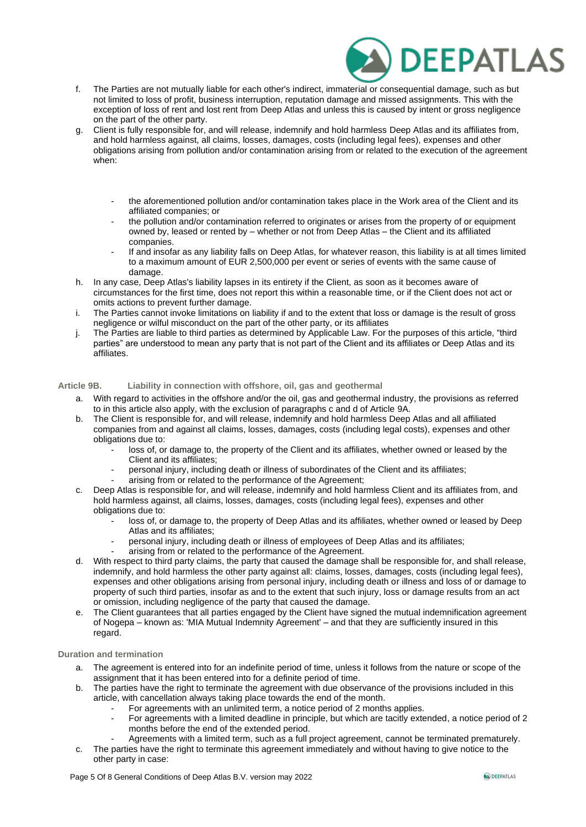

- f. The Parties are not mutually liable for each other's indirect, immaterial or consequential damage, such as but not limited to loss of profit, business interruption, reputation damage and missed assignments. This with the exception of loss of rent and lost rent from Deep Atlas and unless this is caused by intent or gross negligence on the part of the other party.
- g. Client is fully responsible for, and will release, indemnify and hold harmless Deep Atlas and its affiliates from, and hold harmless against, all claims, losses, damages, costs (including legal fees), expenses and other obligations arising from pollution and/or contamination arising from or related to the execution of the agreement when:
	- the aforementioned pollution and/or contamination takes place in the Work area of the Client and its affiliated companies; or
	- the pollution and/or contamination referred to originates or arises from the property of or equipment owned by, leased or rented by – whether or not from Deep Atlas – the Client and its affiliated companies.
	- If and insofar as any liability falls on Deep Atlas, for whatever reason, this liability is at all times limited to a maximum amount of EUR 2,500,000 per event or series of events with the same cause of damage.
- h. In any case, Deep Atlas's liability lapses in its entirety if the Client, as soon as it becomes aware of circumstances for the first time, does not report this within a reasonable time, or if the Client does not act or omits actions to prevent further damage.
- i. The Parties cannot invoke limitations on liability if and to the extent that loss or damage is the result of gross negligence or wilful misconduct on the part of the other party, or its affiliates
- j. The Parties are liable to third parties as determined by Applicable Law. For the purposes of this article, "third parties" are understood to mean any party that is not part of the Client and its affiliates or Deep Atlas and its affiliates.

### **Article 9B. Liability in connection with offshore, oil, gas and geothermal**

- a. With regard to activities in the offshore and/or the oil, gas and geothermal industry, the provisions as referred to in this article also apply, with the exclusion of paragraphs c and d of Article 9A.
- b. The Client is responsible for, and will release, indemnify and hold harmless Deep Atlas and all affiliated companies from and against all claims, losses, damages, costs (including legal costs), expenses and other obligations due to:
	- loss of, or damage to, the property of the Client and its affiliates, whether owned or leased by the Client and its affiliates;
	- personal injury, including death or illness of subordinates of the Client and its affiliates;
		- arising from or related to the performance of the Agreement:
- c. Deep Atlas is responsible for, and will release, indemnify and hold harmless Client and its affiliates from, and hold harmless against, all claims, losses, damages, costs (including legal fees), expenses and other obligations due to:
	- loss of, or damage to, the property of Deep Atlas and its affiliates, whether owned or leased by Deep Atlas and its affiliates;
	- personal injury, including death or illness of employees of Deep Atlas and its affiliates;
	- arising from or related to the performance of the Agreement.
- d. With respect to third party claims, the party that caused the damage shall be responsible for, and shall release, indemnify, and hold harmless the other party against all: claims, losses, damages, costs (including legal fees), expenses and other obligations arising from personal injury, including death or illness and loss of or damage to property of such third parties, insofar as and to the extent that such injury, loss or damage results from an act or omission, including negligence of the party that caused the damage.
- e. The Client guarantees that all parties engaged by the Client have signed the mutual indemnification agreement of Nogepa – known as: 'MIA Mutual Indemnity Agreement' – and that they are sufficiently insured in this regard.

### **Duration and termination**

- a. The agreement is entered into for an indefinite period of time, unless it follows from the nature or scope of the assignment that it has been entered into for a definite period of time.
- b. The parties have the right to terminate the agreement with due observance of the provisions included in this article, with cancellation always taking place towards the end of the month.
	- For agreements with an unlimited term, a notice period of 2 months applies.
	- For agreements with a limited deadline in principle, but which are tacitly extended, a notice period of 2 months before the end of the extended period.
- Agreements with a limited term, such as a full project agreement, cannot be terminated prematurely. c. The parties have the right to terminate this agreement immediately and without having to give notice to the
- other party in case: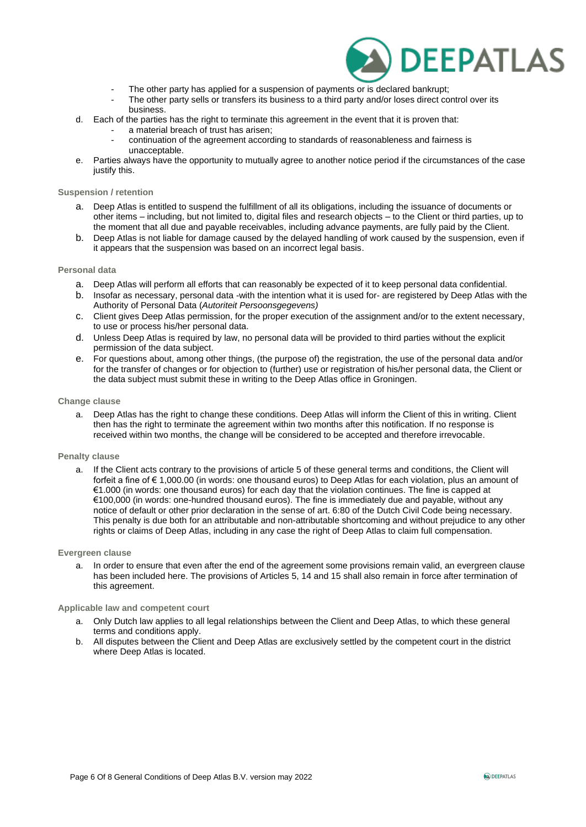

- The other party has applied for a suspension of payments or is declared bankrupt;
- The other party sells or transfers its business to a third party and/or loses direct control over its business.
- d. Each of the parties has the right to terminate this agreement in the event that it is proven that:
	- a material breach of trust has arisen;
		- continuation of the agreement according to standards of reasonableness and fairness is unacceptable.
- e. Parties always have the opportunity to mutually agree to another notice period if the circumstances of the case justify this.

### **Suspension / retention**

- a. Deep Atlas is entitled to suspend the fulfillment of all its obligations, including the issuance of documents or other items – including, but not limited to, digital files and research objects – to the Client or third parties, up to the moment that all due and payable receivables, including advance payments, are fully paid by the Client.
- b. Deep Atlas is not liable for damage caused by the delayed handling of work caused by the suspension, even if it appears that the suspension was based on an incorrect legal basis.

### **Personal data**

- a. Deep Atlas will perform all efforts that can reasonably be expected of it to keep personal data confidential.
- b. Insofar as necessary, personal data -with the intention what it is used for- are registered by Deep Atlas with the Authority of Personal Data (*Autoriteit Persoonsgegevens)*
- c. Client gives Deep Atlas permission, for the proper execution of the assignment and/or to the extent necessary, to use or process his/her personal data.
- d. Unless Deep Atlas is required by law, no personal data will be provided to third parties without the explicit permission of the data subject.
- e. For questions about, among other things, (the purpose of) the registration, the use of the personal data and/or for the transfer of changes or for objection to (further) use or registration of his/her personal data, the Client or the data subject must submit these in writing to the Deep Atlas office in Groningen.

### **Change clause**

a. Deep Atlas has the right to change these conditions. Deep Atlas will inform the Client of this in writing. Client then has the right to terminate the agreement within two months after this notification. If no response is received within two months, the change will be considered to be accepted and therefore irrevocable.

### **Penalty clause**

a. If the Client acts contrary to the provisions of article 5 of these general terms and conditions, the Client will forfeit a fine of € 1,000.00 (in words: one thousand euros) to Deep Atlas for each violation, plus an amount of €1.000 (in words: one thousand euros) for each day that the violation continues. The fine is capped at €100,000 (in words: one-hundred thousand euros). The fine is immediately due and payable, without any notice of default or other prior declaration in the sense of art. 6:80 of the Dutch Civil Code being necessary. This penalty is due both for an attributable and non-attributable shortcoming and without prejudice to any other rights or claims of Deep Atlas, including in any case the right of Deep Atlas to claim full compensation.

### **Evergreen clause**

a. In order to ensure that even after the end of the agreement some provisions remain valid, an evergreen clause has been included here. The provisions of Articles 5, 14 and 15 shall also remain in force after termination of this agreement.

#### **Applicable law and competent court**

- a. Only Dutch law applies to all legal relationships between the Client and Deep Atlas, to which these general terms and conditions apply.
- b. All disputes between the Client and Deep Atlas are exclusively settled by the competent court in the district where Deep Atlas is located.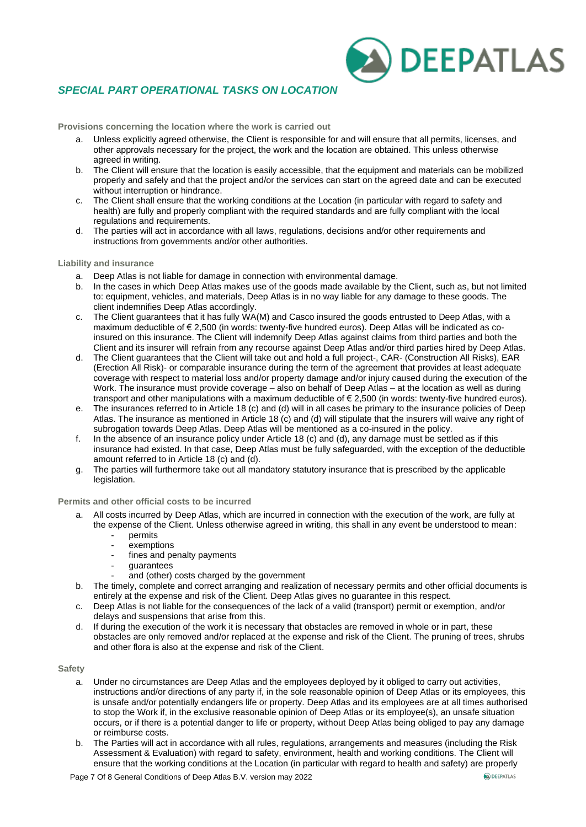# *SPECIAL PART OPERATIONAL TASKS ON LOCATION*

**Provisions concerning the location where the work is carried out**

- a. Unless explicitly agreed otherwise, the Client is responsible for and will ensure that all permits, licenses, and other approvals necessary for the project, the work and the location are obtained. This unless otherwise agreed in writing.
- b. The Client will ensure that the location is easily accessible, that the equipment and materials can be mobilized properly and safely and that the project and/or the services can start on the agreed date and can be executed without interruption or hindrance.
- c. The Client shall ensure that the working conditions at the Location (in particular with regard to safety and health) are fully and properly compliant with the required standards and are fully compliant with the local regulations and requirements.
- d. The parties will act in accordance with all laws, regulations, decisions and/or other requirements and instructions from governments and/or other authorities.

### **Liability and insurance**

- a. Deep Atlas is not liable for damage in connection with environmental damage.
- b. In the cases in which Deep Atlas makes use of the goods made available by the Client, such as, but not limited to: equipment, vehicles, and materials, Deep Atlas is in no way liable for any damage to these goods. The client indemnifies Deep Atlas accordingly.
- c. The Client guarantees that it has fully WA(M) and Casco insured the goods entrusted to Deep Atlas, with a maximum deductible of € 2,500 (in words: twenty-five hundred euros). Deep Atlas will be indicated as coinsured on this insurance. The Client will indemnify Deep Atlas against claims from third parties and both the Client and its insurer will refrain from any recourse against Deep Atlas and/or third parties hired by Deep Atlas.
- d. The Client guarantees that the Client will take out and hold a full project-, CAR- (Construction All Risks), EAR (Erection All Risk)- or comparable insurance during the term of the agreement that provides at least adequate coverage with respect to material loss and/or property damage and/or injury caused during the execution of the Work. The insurance must provide coverage – also on behalf of Deep Atlas – at the location as well as during transport and other manipulations with a maximum deductible of € 2,500 (in words: twenty-five hundred euros).
- e. The insurances referred to in Article 18 (c) and (d) will in all cases be primary to the insurance policies of Deep Atlas. The insurance as mentioned in Article 18 (c) and (d) will stipulate that the insurers will waive any right of subrogation towards Deep Atlas. Deep Atlas will be mentioned as a co-insured in the policy.
- f. In the absence of an insurance policy under Article 18 (c) and (d), any damage must be settled as if this insurance had existed. In that case, Deep Atlas must be fully safeguarded, with the exception of the deductible amount referred to in Article 18 (c) and (d).
- g. The parties will furthermore take out all mandatory statutory insurance that is prescribed by the applicable legislation.

#### **Permits and other official costs to be incurred**

- a. All costs incurred by Deep Atlas, which are incurred in connection with the execution of the work, are fully at the expense of the Client. Unless otherwise agreed in writing, this shall in any event be understood to mean:
	- permits
	- exemptions
	- fines and penalty payments
	- guarantees
	- and (other) costs charged by the government
- b. The timely, complete and correct arranging and realization of necessary permits and other official documents is entirely at the expense and risk of the Client. Deep Atlas gives no guarantee in this respect.
- c. Deep Atlas is not liable for the consequences of the lack of a valid (transport) permit or exemption, and/or delays and suspensions that arise from this.
- d. If during the execution of the work it is necessary that obstacles are removed in whole or in part, these obstacles are only removed and/or replaced at the expense and risk of the Client. The pruning of trees, shrubs and other flora is also at the expense and risk of the Client.

#### **Safety**

- a. Under no circumstances are Deep Atlas and the employees deployed by it obliged to carry out activities, instructions and/or directions of any party if, in the sole reasonable opinion of Deep Atlas or its employees, this is unsafe and/or potentially endangers life or property. Deep Atlas and its employees are at all times authorised to stop the Work if, in the exclusive reasonable opinion of Deep Atlas or its employee(s), an unsafe situation occurs, or if there is a potential danger to life or property, without Deep Atlas being obliged to pay any damage or reimburse costs.
- b. The Parties will act in accordance with all rules, regulations, arrangements and measures (including the Risk Assessment & Evaluation) with regard to safety, environment, health and working conditions. The Client will ensure that the working conditions at the Location (in particular with regard to health and safety) are properly

**A) DEEPATLAS**